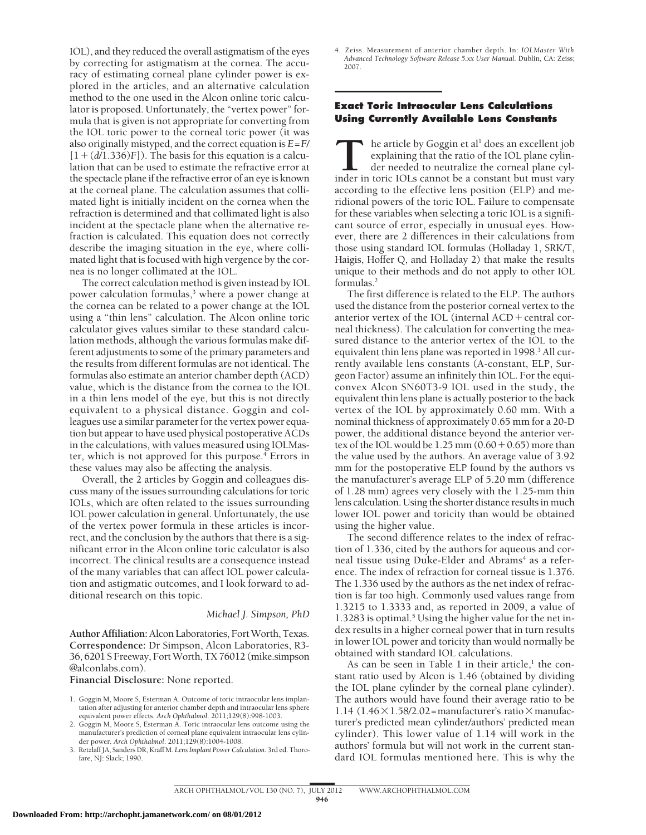IOL), and they reduced the overall astigmatism of the eyes by correcting for astigmatism at the cornea. The accuracy of estimating corneal plane cylinder power is explored in the articles, and an alternative calculation method to the one used in the Alcon online toric calculator is proposed. Unfortunately, the "vertex power" formula that is given is not appropriate for converting from the IOL toric power to the corneal toric power (it was also originally mistyped, and the correct equation is *E*=*F*/  $[1 + (d/1.336)F]$ ). The basis for this equation is a calculation that can be used to estimate the refractive error at the spectacle plane if the refractive error of an eye is known at the corneal plane. The calculation assumes that collimated light is initially incident on the cornea when the refraction is determined and that collimated light is also incident at the spectacle plane when the alternative refraction is calculated. This equation does not correctly describe the imaging situation in the eye, where collimated light that is focused with high vergence by the cornea is no longer collimated at the IOL.

The correct calculation method is given instead by IOL power calculation formulas,<sup>3</sup> where a power change at the cornea can be related to a power change at the IOL using a "thin lens" calculation. The Alcon online toric calculator gives values similar to these standard calculation methods, although the various formulas make different adjustments to some of the primary parameters and the results from different formulas are not identical. The formulas also estimate an anterior chamber depth (ACD) value, which is the distance from the cornea to the IOL in a thin lens model of the eye, but this is not directly equivalent to a physical distance. Goggin and colleagues use a similar parameter for the vertex power equation but appear to have used physical postoperative ACDs in the calculations, with values measured using IOLMaster, which is not approved for this purpose. $\frac{4}{1}$  Errors in these values may also be affecting the analysis.

Overall, the 2 articles by Goggin and colleagues discuss many of the issues surrounding calculations for toric IOLs, which are often related to the issues surrounding IOL power calculation in general. Unfortunately, the use of the vertex power formula in these articles is incorrect, and the conclusion by the authors that there is a significant error in the Alcon online toric calculator is also incorrect. The clinical results are a consequence instead of the many variables that can affect IOL power calculation and astigmatic outcomes, and I look forward to additional research on this topic.

## *Michael J. Simpson, PhD*

**Author Affiliation:**Alcon Laboratories, Fort Worth, Texas. **Correspondence:** Dr Simpson, Alcon Laboratories, R3- 36, 6201 S Freeway, Fort Worth, TX 76012 (mike.simpson @alconlabs.com).

**Financial Disclosure:** None reported.

- 1. Goggin M, Moore S, Esterman A. Outcome of toric intraocular lens implantation after adjusting for anterior chamber depth and intraocular lens sphere equivalent power effects. *Arch Ophthalmol*. 2011;129(8):998-1003.
- 2. Goggin M, Moore S, Esterman A. Toric intraocular lens outcome using the manufacturer's prediction of corneal plane equivalent intraocular lens cylinder power. *Arch Ophthalmol*. 2011;129(8):1004-1008.
- 3. Retzlaff JA, Sanders DR, Kraff M. *Lens Implant Power Calculation.* 3rd ed. Thorofare, NJ: Slack; 1990.

4. Zeiss. Measurement of anterior chamber depth. In: *IOLMaster With Advanced Technology Software Release 5.xx User Manual.* Dublin, CA: Zeiss; 2007.

## **Exact Toric Intraocular Lens Calculations Using Currently Available Lens Constants**

**T**he article by Goggin et al<sup>1</sup> does an excellent job explaining that the ratio of the IOL plane cylinder in toric IOLs cannot be a constant but must vary explaining that the ratio of the IOL plane cylinder needed to neutralize the corneal plane cylaccording to the effective lens position (ELP) and meridional powers of the toric IOL. Failure to compensate for these variables when selecting a toric IOL is a significant source of error, especially in unusual eyes. However, there are 2 differences in their calculations from those using standard IOL formulas (Holladay 1, SRK/T, Haigis, Hoffer Q, and Holladay 2) that make the results unique to their methods and do not apply to other IOL formulas.2

The first difference is related to the ELP. The authors used the distance from the posterior corneal vertex to the anterior vertex of the IOL (internal ACD + central corneal thickness). The calculation for converting the measured distance to the anterior vertex of the IOL to the equivalent thin lens plane was reported in 1998.<sup>3</sup> All currently available lens constants (A-constant, ELP, Surgeon Factor) assume an infinitely thin IOL. For the equiconvex Alcon SN60T3-9 IOL used in the study, the equivalent thin lens plane is actually posterior to the back vertex of the IOL by approximately 0.60 mm. With a nominal thickness of approximately 0.65 mm for a 20-D power, the additional distance beyond the anterior vertex of the IOL would be  $1.25 \text{ mm}$   $(0.60 + 0.65)$  more than the value used by the authors. An average value of 3.92 mm for the postoperative ELP found by the authors vs the manufacturer's average ELP of 5.20 mm (difference of 1.28 mm) agrees very closely with the 1.25-mm thin lens calculation. Using the shorter distance results in much lower IOL power and toricity than would be obtained using the higher value.

The second difference relates to the index of refraction of 1.336, cited by the authors for aqueous and corneal tissue using Duke-Elder and Abrams<sup>4</sup> as a reference. The index of refraction for corneal tissue is 1.376. The 1.336 used by the authors as the net index of refraction is far too high. Commonly used values range from 1.3215 to 1.3333 and, as reported in 2009, a value of 1.3283 is optimal.<sup>5</sup> Using the higher value for the net index results in a higher corneal power that in turn results in lower IOL power and toricity than would normally be obtained with standard IOL calculations.

As can be seen in Table 1 in their article, $<sup>1</sup>$  the con-</sup> stant ratio used by Alcon is 1.46 (obtained by dividing the IOL plane cylinder by the corneal plane cylinder). The authors would have found their average ratio to be 1.14 (1.46 $\times$ 1.58/2.02=manufacturer's ratio $\times$ manufacturer's predicted mean cylinder/authors' predicted mean cylinder). This lower value of 1.14 will work in the authors' formula but will not work in the current standard IOL formulas mentioned here. This is why the